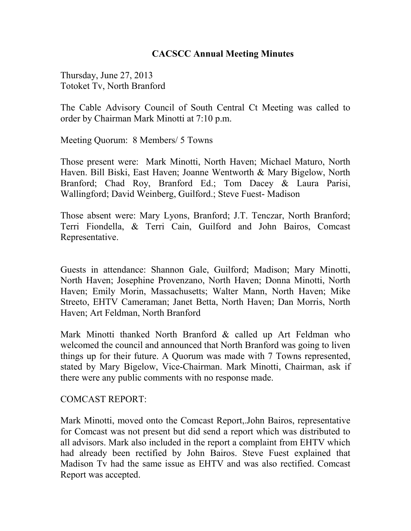#### **CACSCC Annual Meeting Minutes**

Thursday, June 27, 2013 Totoket Tv, North Branford

The Cable Advisory Council of South Central Ct Meeting was called to order by Chairman Mark Minotti at 7:10 p.m.

Meeting Quorum: 8 Members/ 5 Towns

Those present were: Mark Minotti, North Haven; Michael Maturo, North Haven. Bill Biski, East Haven; Joanne Wentworth & Mary Bigelow, North Branford; Chad Roy, Branford Ed.; Tom Dacey & Laura Parisi, Wallingford; David Weinberg, Guilford.; Steve Fuest- Madison

Those absent were: Mary Lyons, Branford; J.T. Tenczar, North Branford; Terri Fiondella, & Terri Cain, Guilford and John Bairos, Comcast Representative.

Guests in attendance: Shannon Gale, Guilford; Madison; Mary Minotti, North Haven; Josephine Provenzano, North Haven; Donna Minotti, North Haven; Emily Morin, Massachusetts; Walter Mann, North Haven; Mike Streeto, EHTV Cameraman; Janet Betta, North Haven; Dan Morris, North Haven; Art Feldman, North Branford

Mark Minotti thanked North Branford & called up Art Feldman who welcomed the council and announced that North Branford was going to liven things up for their future. A Quorum was made with 7 Towns represented, stated by Mary Bigelow, Vice-Chairman. Mark Minotti, Chairman, ask if there were any public comments with no response made.

#### COMCAST REPORT:

Mark Minotti, moved onto the Comcast Report,.John Bairos, representative for Comcast was not present but did send a report which was distributed to all advisors. Mark also included in the report a complaint from EHTV which had already been rectified by John Bairos. Steve Fuest explained that Madison Tv had the same issue as EHTV and was also rectified. Comcast Report was accepted.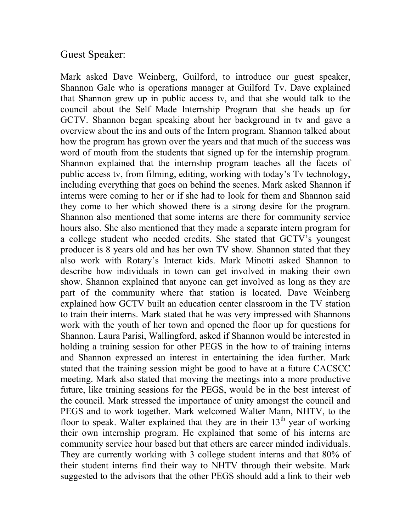## Guest Speaker:

Mark asked Dave Weinberg, Guilford, to introduce our guest speaker, Shannon Gale who is operations manager at Guilford Tv. Dave explained that Shannon grew up in public access tv, and that she would talk to the council about the Self Made Internship Program that she heads up for GCTV. Shannon began speaking about her background in tv and gave a overview about the ins and outs of the Intern program. Shannon talked about how the program has grown over the years and that much of the success was word of mouth from the students that signed up for the internship program. Shannon explained that the internship program teaches all the facets of public access tv, from filming, editing, working with today's Tv technology, including everything that goes on behind the scenes. Mark asked Shannon if interns were coming to her or if she had to look for them and Shannon said they come to her which showed there is a strong desire for the program. Shannon also mentioned that some interns are there for community service hours also. She also mentioned that they made a separate intern program for a college student who needed credits. She stated that GCTV's youngest producer is 8 years old and has her own TV show. Shannon stated that they also work with Rotary's Interact kids. Mark Minotti asked Shannon to describe how individuals in town can get involved in making their own show. Shannon explained that anyone can get involved as long as they are part of the community where that station is located. Dave Weinberg explained how GCTV built an education center classroom in the TV station to train their interns. Mark stated that he was very impressed with Shannons work with the youth of her town and opened the floor up for questions for Shannon. Laura Parisi, Wallingford, asked if Shannon would be interested in holding a training session for other PEGS in the how to of training interns and Shannon expressed an interest in entertaining the idea further. Mark stated that the training session might be good to have at a future CACSCC meeting. Mark also stated that moving the meetings into a more productive future, like training sessions for the PEGS, would be in the best interest of the council. Mark stressed the importance of unity amongst the council and PEGS and to work together. Mark welcomed Walter Mann, NHTV, to the floor to speak. Walter explained that they are in their  $13<sup>th</sup>$  year of working their own internship program. He explained that some of his interns are community service hour based but that others are career minded individuals. They are currently working with 3 college student interns and that 80% of their student interns find their way to NHTV through their website. Mark suggested to the advisors that the other PEGS should add a link to their web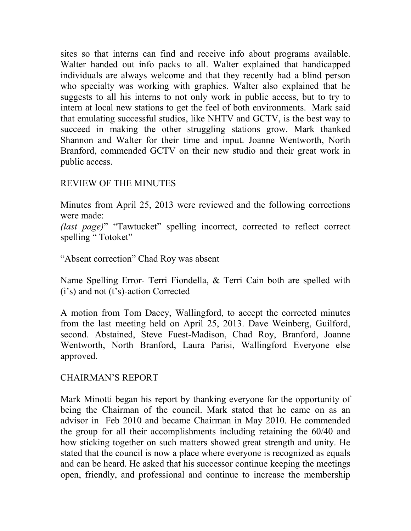sites so that interns can find and receive info about programs available. Walter handed out info packs to all. Walter explained that handicapped individuals are always welcome and that they recently had a blind person who specialty was working with graphics. Walter also explained that he suggests to all his interns to not only work in public access, but to try to intern at local new stations to get the feel of both environments. Mark said that emulating successful studios, like NHTV and GCTV, is the best way to succeed in making the other struggling stations grow. Mark thanked Shannon and Walter for their time and input. Joanne Wentworth, North Branford, commended GCTV on their new studio and their great work in public access.

## REVIEW OF THE MINUTES

Minutes from April 25, 2013 were reviewed and the following corrections were made:

*(last page)*" "Tawtucket" spelling incorrect, corrected to reflect correct spelling "Totoket"

"Absent correction" Chad Roy was absent

Name Spelling Error- Terri Fiondella, & Terri Cain both are spelled with (i's) and not (t's)-action Corrected

A motion from Tom Dacey, Wallingford, to accept the corrected minutes from the last meeting held on April 25, 2013. Dave Weinberg, Guilford, second. Abstained, Steve Fuest-Madison, Chad Roy, Branford, Joanne Wentworth, North Branford, Laura Parisi, Wallingford Everyone else approved.

## CHAIRMAN'S REPORT

Mark Minotti began his report by thanking everyone for the opportunity of being the Chairman of the council. Mark stated that he came on as an advisor in Feb 2010 and became Chairman in May 2010. He commended the group for all their accomplishments including retaining the 60/40 and how sticking together on such matters showed great strength and unity. He stated that the council is now a place where everyone is recognized as equals and can be heard. He asked that his successor continue keeping the meetings open, friendly, and professional and continue to increase the membership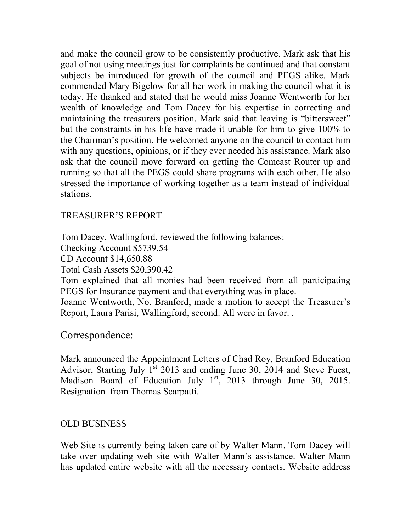and make the council grow to be consistently productive. Mark ask that his goal of not using meetings just for complaints be continued and that constant subjects be introduced for growth of the council and PEGS alike. Mark commended Mary Bigelow for all her work in making the council what it is today. He thanked and stated that he would miss Joanne Wentworth for her wealth of knowledge and Tom Dacey for his expertise in correcting and maintaining the treasurers position. Mark said that leaving is "bittersweet" but the constraints in his life have made it unable for him to give 100% to the Chairman's position. He welcomed anyone on the council to contact him with any questions, opinions, or if they ever needed his assistance. Mark also ask that the council move forward on getting the Comcast Router up and running so that all the PEGS could share programs with each other. He also stressed the importance of working together as a team instead of individual stations.

## TREASURER'S REPORT

Tom Dacey, Wallingford, reviewed the following balances: Checking Account \$5739.54 CD Account \$14,650.88 Total Cash Assets \$20,390.42 Tom explained that all monies had been received from all participating PEGS for Insurance payment and that everything was in place. Joanne Wentworth, No. Branford, made a motion to accept the Treasurer's Report, Laura Parisi, Wallingford, second. All were in favor. .

# Correspondence:

Mark announced the Appointment Letters of Chad Roy, Branford Education Advisor, Starting July  $1^{st}$  2013 and ending June 30, 2014 and Steve Fuest, Madison Board of Education July 1<sup>st</sup>, 2013 through June 30, 2015. Resignation from Thomas Scarpatti.

## OLD BUSINESS

Web Site is currently being taken care of by Walter Mann. Tom Dacey will take over updating web site with Walter Mann's assistance. Walter Mann has updated entire website with all the necessary contacts. Website address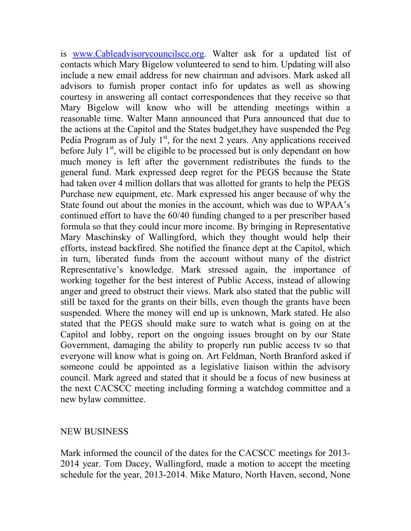is www.Cableadvisorycouncilscc.org. Walter ask for a updated list of contacts which Mary Bigelow volunteered to send to him. Updating will also include a new email address for new chairman and advisors. Mark asked all advisors to furnish proper contact info for updates as well as showing courtesy in answering all contact correspondences that they receive so that Mary Bigelow will know who will be attending meetings within a reasonable time. Walter Mann announced that Pura announced that due to the actions at the Capitol and the States budget,they have suspended the Peg Pedia Program as of July  $1<sup>st</sup>$ , for the next 2 years. Any applications received before July  $1<sup>st</sup>$ , will be eligible to be processed but is only dependant on how much money is left after the government redistributes the funds to the general fund. Mark expressed deep regret for the PEGS because the State had taken over 4 million dollars that was allotted for grants to help the PEGS Purchase new equipment, etc. Mark expressed his anger because of why the State found out about the monies in the account, which was due to WPAA's continued effort to have the 60/40 funding changed to a per prescriber based formula so that they could incur more income. By bringing in Representative Mary Maschinsky of Wallingford, which they thought would help their efforts, instead backfired. She notified the finance dept at the Capitol, which in turn, liberated funds from the account without many of the district Representative's knowledge. Mark stressed again, the importance of working together for the best interest of Public Access, instead of allowing anger and greed to obstruct their views. Mark also stated that the public will still be taxed for the grants on their bills, even though the grants have been suspended. Where the money will end up is unknown, Mark stated. He also stated that the PEGS should make sure to watch what is going on at the Capitol and lobby, report on the ongoing issues brought on by our State Government, damaging the ability to properly run public access tv so that everyone will know what is going on. Art Feldman, North Branford asked if someone could be appointed as a legislative liaison within the advisory council. Mark agreed and stated that it should be a focus of new business at the next CACSCC meeting including forming a watchdog committee and a new bylaw committee.

#### NEW BUSINESS

Mark informed the council of the dates for the CACSCC meetings for 2013- 2014 year. Tom Dacey, Wallingford, made a motion to accept the meeting schedule for the year, 2013-2014. Mike Maturo, North Haven, second, None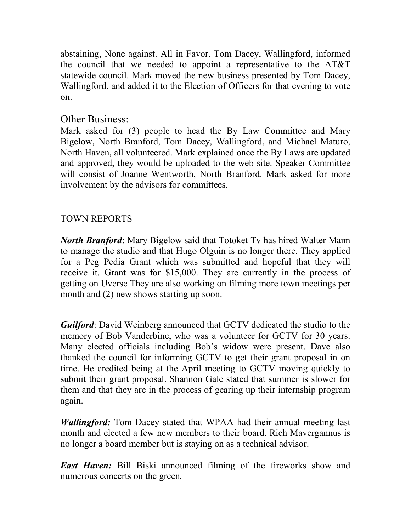abstaining, None against. All in Favor. Tom Dacey, Wallingford, informed the council that we needed to appoint a representative to the AT&T statewide council. Mark moved the new business presented by Tom Dacey, Wallingford, and added it to the Election of Officers for that evening to vote on.

# Other Business:

Mark asked for (3) people to head the By Law Committee and Mary Bigelow, North Branford, Tom Dacey, Wallingford, and Michael Maturo, North Haven, all volunteered. Mark explained once the By Laws are updated and approved, they would be uploaded to the web site. Speaker Committee will consist of Joanne Wentworth, North Branford. Mark asked for more involvement by the advisors for committees.

## TOWN REPORTS

*North Branford*: Mary Bigelow said that Totoket Tv has hired Walter Mann to manage the studio and that Hugo Olguin is no longer there. They applied for a Peg Pedia Grant which was submitted and hopeful that they will receive it. Grant was for \$15,000. They are currently in the process of getting on Uverse They are also working on filming more town meetings per month and (2) new shows starting up soon.

*Guilford*: David Weinberg announced that GCTV dedicated the studio to the memory of Bob Vanderbine, who was a volunteer for GCTV for 30 years. Many elected officials including Bob's widow were present. Dave also thanked the council for informing GCTV to get their grant proposal in on time. He credited being at the April meeting to GCTV moving quickly to submit their grant proposal. Shannon Gale stated that summer is slower for them and that they are in the process of gearing up their internship program again.

*Wallingford:* Tom Dacey stated that WPAA had their annual meeting last month and elected a few new members to their board. Rich Mavergannus is no longer a board member but is staying on as a technical advisor.

*East Haven:* Bill Biski announced filming of the fireworks show and numerous concerts on the green*.*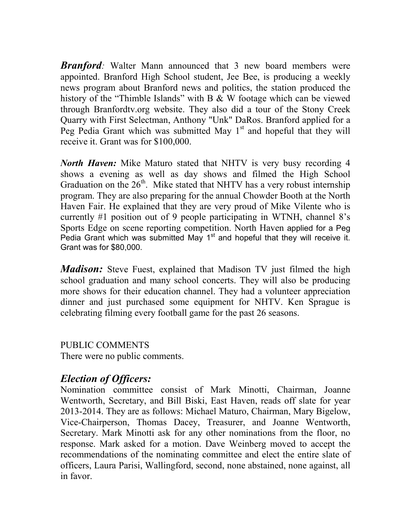*Branford:* Walter Mann announced that 3 new board members were appointed. Branford High School student, Jee Bee, is producing a weekly news program about Branford news and politics, the station produced the history of the "Thimble Islands" with B & W footage which can be viewed through Branfordtv.org website. They also did a tour of the Stony Creek Quarry with First Selectman, Anthony "Unk" DaRos. Branford applied for a Peg Pedia Grant which was submitted May  $1<sup>st</sup>$  and hopeful that they will receive it. Grant was for \$100,000.

*North Haven:* Mike Maturo stated that NHTV is very busy recording 4 shows a evening as well as day shows and filmed the High School Graduation on the  $26<sup>th</sup>$ . Mike stated that NHTV has a very robust internship program. They are also preparing for the annual Chowder Booth at the North Haven Fair. He explained that they are very proud of Mike Vilente who is currently #1 position out of 9 people participating in WTNH, channel 8's Sports Edge on scene reporting competition. North Haven applied for a Peg Pedia Grant which was submitted May 1<sup>st</sup> and hopeful that they will receive it. Grant was for \$80,000.

*Madison:* Steve Fuest, explained that Madison TV just filmed the high school graduation and many school concerts. They will also be producing more shows for their education channel. They had a volunteer appreciation dinner and just purchased some equipment for NHTV. Ken Sprague is celebrating filming every football game for the past 26 seasons.

PUBLIC COMMENTS There were no public comments.

# *Election of Officers:*

Nomination committee consist of Mark Minotti, Chairman, Joanne Wentworth, Secretary, and Bill Biski, East Haven, reads off slate for year 2013-2014. They are as follows: Michael Maturo, Chairman, Mary Bigelow, Vice-Chairperson, Thomas Dacey, Treasurer, and Joanne Wentworth, Secretary. Mark Minotti ask for any other nominations from the floor, no response. Mark asked for a motion. Dave Weinberg moved to accept the recommendations of the nominating committee and elect the entire slate of officers, Laura Parisi, Wallingford, second, none abstained, none against, all in favor.